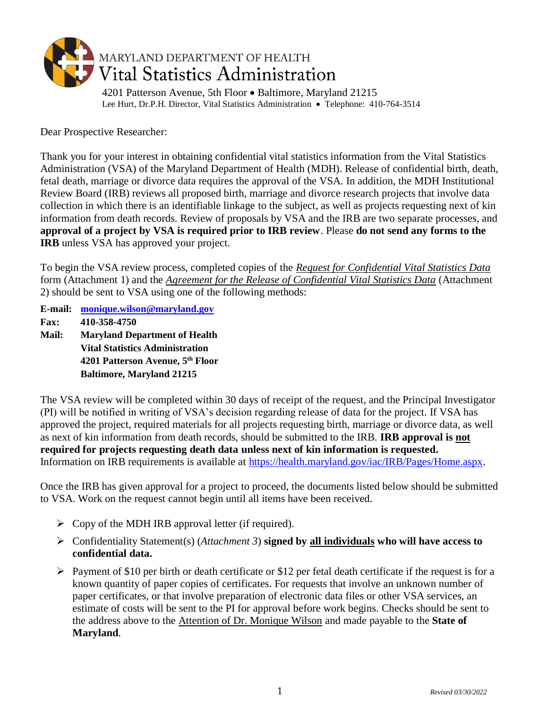

Dear Prospective Researcher:

Thank you for your interest in obtaining confidential vital statistics information from the Vital Statistics Administration (VSA) of the Maryland Department of Health (MDH). Release of confidential birth, death, fetal death, marriage or divorce data requires the approval of the VSA. In addition, the MDH Institutional Review Board (IRB) reviews all proposed birth, marriage and divorce research projects that involve data collection in which there is an identifiable linkage to the subject, as well as projects requesting next of kin information from death records. Review of proposals by VSA and the IRB are two separate processes, and **approval of a project by VSA is required prior to IRB review**. Please **do not send any forms to the IRB** unless VSA has approved your project.

To begin the VSA review process, completed copies of the *Request for Confidential Vital Statistics Data* form (Attachment 1) and the *Agreement for the Release of Confidential Vital Statistics Data* (Attachment 2) should be sent to VSA using one of the following methods:

**E-mail: [monique.wilson@maryland.gov](mailto:monique.wilson@maryland.gov)**

**Fax: 410-358-4750**

**Mail: Maryland Department of Health Vital Statistics Administration 4201 Patterson Avenue, 5th Floor Baltimore, Maryland 21215**

The VSA review will be completed within 30 days of receipt of the request, and the Principal Investigator (PI) will be notified in writing of VSA's decision regarding release of data for the project. If VSA has approved the project, required materials for all projects requesting birth, marriage or divorce data, as well as next of kin information from death records, should be submitted to the IRB. **IRB approval is not required for projects requesting death data unless next of kin information is requested.** Information on IRB requirements is available at [https://health.maryland.gov/iac/IRB/Pages/Home.aspx.](https://health.maryland.gov/iac/IRB/Pages/Home.aspx)

Once the IRB has given approval for a project to proceed, the documents listed below should be submitted to VSA. Work on the request cannot begin until all items have been received.

- $\triangleright$  Copy of the MDH IRB approval letter (if required).
- ➢ Confidentiality Statement(s) (*Attachment 3*) **signed by all individuals who will have access to confidential data.**
- ➢ Payment of \$10 per birth or death certificate or \$12 per fetal death certificate if the request is for a known quantity of paper copies of certificates. For requests that involve an unknown number of paper certificates, or that involve preparation of electronic data files or other VSA services, an estimate of costs will be sent to the PI for approval before work begins. Checks should be sent to the address above to the Attention of Dr. Monique Wilson and made payable to the **State of Maryland**.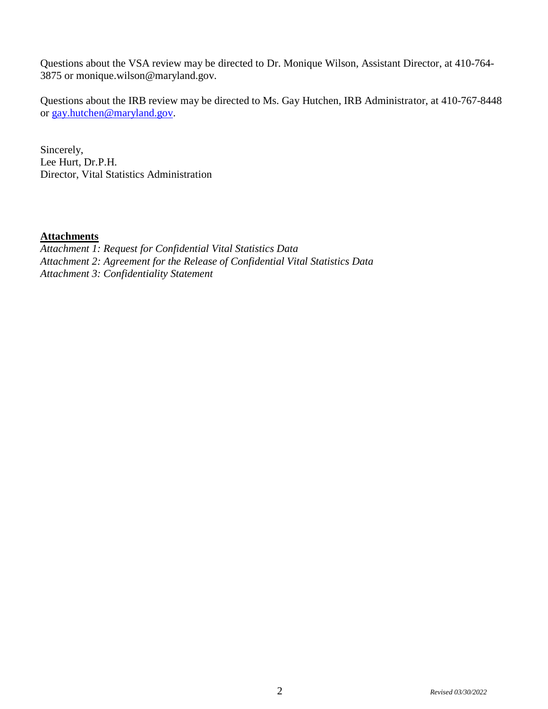Questions about the VSA review may be directed to Dr. Monique Wilson, Assistant Director, at 410-764- 3875 or monique.wilson@maryland.gov.

Questions about the IRB review may be directed to Ms. Gay Hutchen, IRB Administrator, at 410-767-8448 or [gay.hutchen@maryland.gov.](mailto:gay.hutchen@maryland.gov)

Sincerely, Lee Hurt, Dr.P.H. Director, Vital Statistics Administration

## **Attachments**

*Attachment 1: Request for Confidential Vital Statistics Data Attachment 2: Agreement for the Release of Confidential Vital Statistics Data Attachment 3: Confidentiality Statement*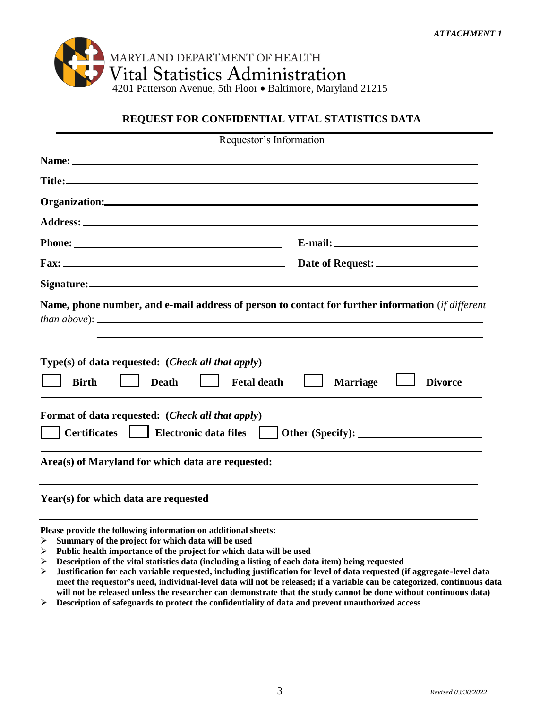

## **REQUEST FOR CONFIDENTIAL VITAL STATISTICS DATA** \_\_\_\_\_\_\_\_\_\_\_\_\_\_\_\_\_\_\_\_\_\_\_\_\_\_\_\_\_\_\_\_\_\_\_\_\_\_\_\_\_\_\_\_\_\_\_\_\_\_\_\_\_\_\_\_\_\_\_\_\_\_\_\_\_\_\_\_\_\_\_\_\_\_\_\_\_\_\_\_\_\_\_\_\_\_\_\_\_\_\_\_\_\_\_\_\_\_\_\_\_\_\_\_\_\_\_\_\_\_\_\_\_\_\_\_\_\_\_\_\_\_

| Requestor's Information                                                                                                                                           |                                   |
|-------------------------------------------------------------------------------------------------------------------------------------------------------------------|-----------------------------------|
|                                                                                                                                                                   |                                   |
|                                                                                                                                                                   |                                   |
|                                                                                                                                                                   |                                   |
|                                                                                                                                                                   |                                   |
|                                                                                                                                                                   |                                   |
|                                                                                                                                                                   |                                   |
|                                                                                                                                                                   |                                   |
| Name, phone number, and e-mail address of person to contact for further information (if different<br>$Type(s)$ of data requested: ( <i>Check all that apply</i> ) |                                   |
| <b>Birth</b><br><b>Death</b><br><b>Fetal death</b>                                                                                                                | <b>Marriage</b><br><b>Divorce</b> |
| Format of data requested: ( <i>Check all that apply</i> )<br>Certificates   Electronic data files                                                                 |                                   |
| Area(s) of Maryland for which data are requested:                                                                                                                 |                                   |
| Year(s) for which data are requested                                                                                                                              |                                   |
| Please provide the following information on additional sheets:<br>$\triangleright$ Summary of the project for which data will be used                             |                                   |

- ➢ **Public health importance of the project for which data will be used** ➢ **Description of the vital statistics data (including a listing of each data item) being requested**
- ➢ **Justification for each variable requested, including justification for level of data requested (if aggregate-level data meet the requestor's need, individual-level data will not be released; if a variable can be categorized, continuous data will not be released unless the researcher can demonstrate that the study cannot be done without continuous data)**
- ➢ **Description of safeguards to protect the confidentiality of data and prevent unauthorized access**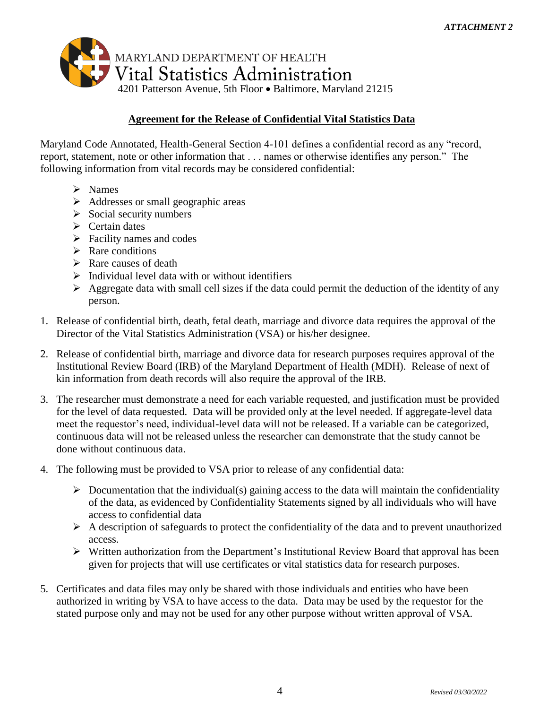

## **Agreement for the Release of Confidential Vital Statistics Data**

Maryland Code Annotated, Health-General Section 4-101 defines a confidential record as any "record, report, statement, note or other information that . . . names or otherwise identifies any person." The following information from vital records may be considered confidential:

- ➢ Names
- ➢ Addresses or small geographic areas
- $\triangleright$  Social security numbers
- $\triangleright$  Certain dates
- $\triangleright$  Facility names and codes
- $\triangleright$  Rare conditions
- $\triangleright$  Rare causes of death
- $\triangleright$  Individual level data with or without identifiers
- $\triangleright$  Aggregate data with small cell sizes if the data could permit the deduction of the identity of any person.
- 1. Release of confidential birth, death, fetal death, marriage and divorce data requires the approval of the Director of the Vital Statistics Administration (VSA) or his/her designee.
- 2. Release of confidential birth, marriage and divorce data for research purposes requires approval of the Institutional Review Board (IRB) of the Maryland Department of Health (MDH). Release of next of kin information from death records will also require the approval of the IRB.
- 3. The researcher must demonstrate a need for each variable requested, and justification must be provided for the level of data requested. Data will be provided only at the level needed. If aggregate-level data meet the requestor's need, individual-level data will not be released. If a variable can be categorized, continuous data will not be released unless the researcher can demonstrate that the study cannot be done without continuous data.
- 4. The following must be provided to VSA prior to release of any confidential data:
	- $\triangleright$  Documentation that the individual(s) gaining access to the data will maintain the confidentiality of the data, as evidenced by Confidentiality Statements signed by all individuals who will have access to confidential data
	- $\triangleright$  A description of safeguards to protect the confidentiality of the data and to prevent unauthorized access.
	- ➢ Written authorization from the Department's Institutional Review Board that approval has been given for projects that will use certificates or vital statistics data for research purposes.
- 5. Certificates and data files may only be shared with those individuals and entities who have been authorized in writing by VSA to have access to the data. Data may be used by the requestor for the stated purpose only and may not be used for any other purpose without written approval of VSA.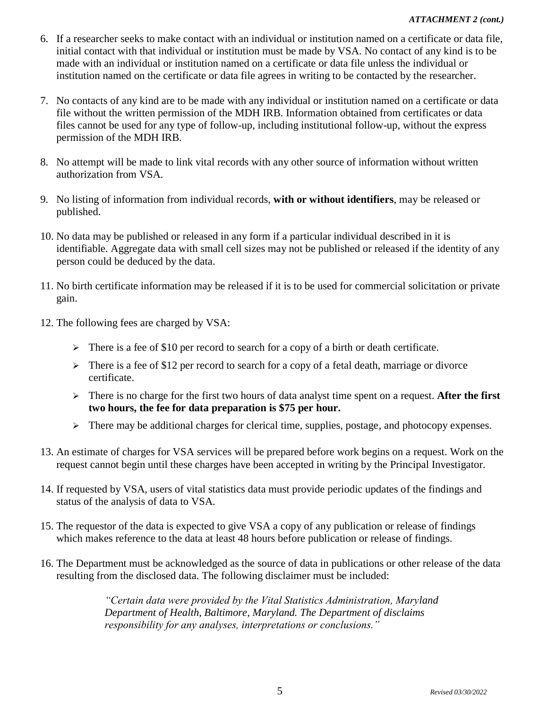- 6. If a researcher seeks to make contact with an individual or institution named on a certificate or data file, initial contact with that individual or institution must be made by VSA. No contact of any kind is to be made with an individual or institution named on a certificate or data file unless the individual or institution named on the certificate or data file agrees in writing to be contacted by the researcher.
- 7. No contacts of any kind are to be made with any individual or institution named on a certificate or data file without the written permission of the MDH IRB. Information obtained from certificates or data files cannot be used for any type of follow-up, including institutional follow-up, without the express permission of the MDH IRB.
- 8. No attempt will be made to link vital records with any other source of information without written authorization from VSA.
- 9. No listing of information from individual records, **with or without identifiers**, may be released or published.
- 10. No data may be published or released in any form if a particular individual described in it is identifiable. Aggregate data with small cell sizes may not be published or released if the identity of any person could be deduced by the data.
- 11. No birth certificate information may be released if it is to be used for commercial solicitation or private gain.
- 12. The following fees are charged by VSA:
	- ➢ There is a fee of \$10 per record to search for a copy of a birth or death certificate.
	- $\geq$  There is a fee of \$12 per record to search for a copy of a fetal death, marriage or divorce certificate.
	- ➢ There is no charge for the first two hours of data analyst time spent on a request. **After the first two hours, the fee for data preparation is \$75 per hour.**
	- $\triangleright$  There may be additional charges for clerical time, supplies, postage, and photocopy expenses.
- 13. An estimate of charges for VSA services will be prepared before work begins on a request. Work on the request cannot begin until these charges have been accepted in writing by the Principal Investigator.
- 14. If requested by VSA, users of vital statistics data must provide periodic updates of the findings and status of the analysis of data to VSA.
- 15. The requestor of the data is expected to give VSA a copy of any publication or release of findings which makes reference to the data at least 48 hours before publication or release of findings.
- 16. The Department must be acknowledged as the source of data in publications or other release of the data resulting from the disclosed data. The following disclaimer must be included:

*"Certain data were provided by the Vital Statistics Administration, Maryland Department of Health, Baltimore, Maryland. The Department of disclaims responsibility for any analyses, interpretations or conclusions."*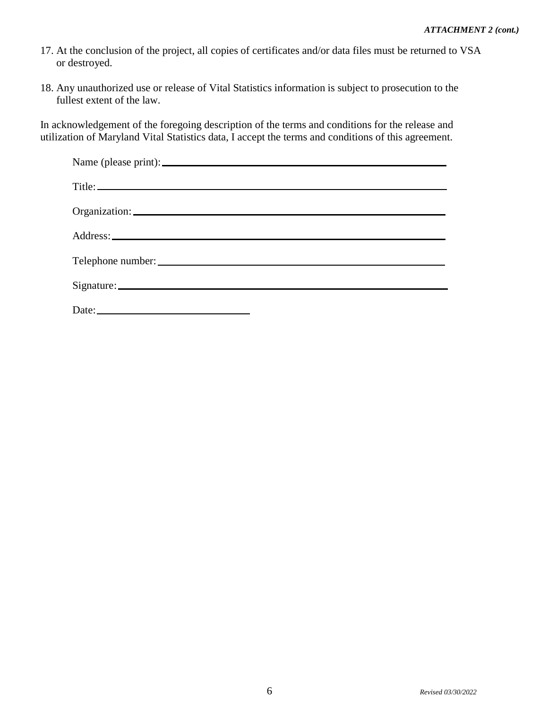- 17. At the conclusion of the project, all copies of certificates and/or data files must be returned to VSA or destroyed.
- 18. Any unauthorized use or release of Vital Statistics information is subject to prosecution to the fullest extent of the law.

In acknowledgement of the foregoing description of the terms and conditions for the release and utilization of Maryland Vital Statistics data, I accept the terms and conditions of this agreement.

| Date: |
|-------|